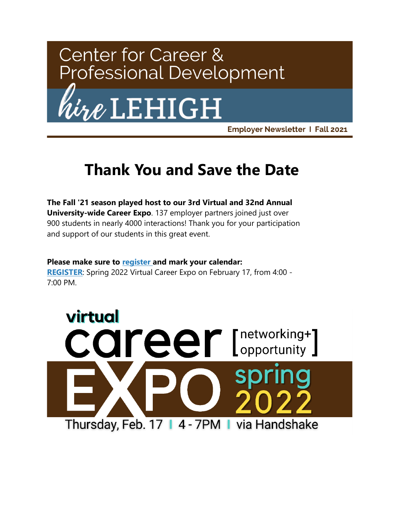

# $\ell$ LEHIGH

**Employer Newsletter 1 Fall 2021** 

### **Thank You and Save the Date**

**The Fall '21 season played host to our 3rd Virtual and 32nd Annual University-wide Career Expo**. 137 employer partners joined just over 900 students in nearly 4000 interactions! Thank you for your participation and support of our students in this great event.

#### **Please make sure to [register](https://app.joinhandshake.com/career_fairs/29066/employer_preview?token=Wk5ougD3MzzWGPT_Xtyh5-SsVSz7oKKOhrQDaA39ncX4h3A2ym2OKA&lor=0&utm_source=mass_mailer&utm_medium=email&utm_campaign=uni_targeted_emails) and mark your calendar:**

**[REGISTER](https://app.joinhandshake.com/career_fairs/29066/employer_preview?token=Wk5ougD3MzzWGPT_Xtyh5-SsVSz7oKKOhrQDaA39ncX4h3A2ym2OKA&lor=1&utm_source=mass_mailer&utm_medium=email&utm_campaign=uni_targeted_emails)**: Spring 2022 Virtual Career Expo on February 17, from 4:00 - 7:00 PM.

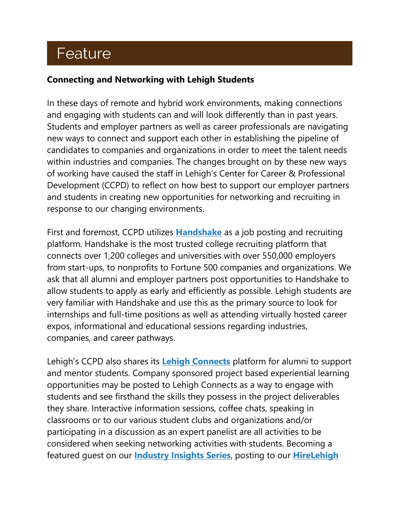### Feature

#### **Connecting and Networking with Lehigh Students**

In these days of remote and hybrid work environments, making connections and engaging with students can and will look differently than in past years. Students and employer partners as well as career professionals are navigating new ways to connect and support each other in establishing the pipeline of candidates to companies and organizations in order to meet the talent needs within industries and companies. The changes brought on by these new ways of working have caused the staff in Lehigh's Center for Career & Professional Development (CCPD) to reflect on how best to support our employer partners and students in creating new opportunities for networking and recruiting in response to our changing environments.

First and foremost, CCPD utilizes **[Handshake](https://joinhandshake.com/employers/?lor=3&utm_source=mass_mailer&utm_medium=email&utm_campaign=uni_targeted_emails)** as a job posting and recruiting platform. Handshake is the most trusted college recruiting platform that connects over 1,200 colleges and universities with over 550,000 employers from start-ups, to nonprofits to Fortune 500 companies and organizations. We ask that all alumni and employer partners post opportunities to Handshake to allow students to apply as early and efficiently as possible. Lehigh students are very familiar with Handshake and use this as the primary source to look for internships and full-time positions as well as attending virtually hosted career expos, informational and educational sessions regarding industries, companies, and career pathways.

Lehigh's CCPD also shares its **[Lehigh Connects](https://lehigh.peoplegrove.com/hub/lehigh-connects/home-v3?lor=4&utm_source=mass_mailer&utm_medium=email&utm_campaign=uni_targeted_emails)** platform for alumni to support and mentor students. Company sponsored project based experiential learning opportunities may be posted to Lehigh Connects as a way to engage with students and see firsthand the skills they possess in the project deliverables they share. Interactive information sessions, coffee chats, speaking in classrooms or to our various student clubs and organizations and/or participating in a discussion as an expert panelist are all activities to be considered when seeking networking activities with students. Becoming a featured guest on our **[Industry Insights Series](https://www.youtube.com/channel/UC3MqE_-_k5UFg9mhI2i_xvg?lor=5&utm_source=mass_mailer&utm_medium=email&utm_campaign=uni_targeted_emails)**, posting to our **[HireLehigh](https://www.hirelehigh.com/?lor=6&utm_source=mass_mailer&utm_medium=email&utm_campaign=uni_targeted_emails)**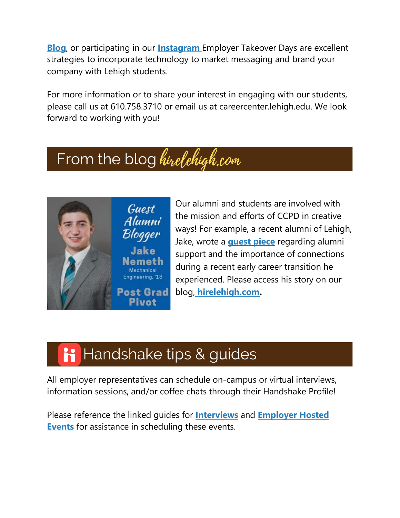**[Blog](https://www.hirelehigh.com/?lor=6&utm_source=mass_mailer&utm_medium=email&utm_campaign=uni_targeted_emails)**, or participating in our **[Instagram](https://www.instagram.com/lehighcareercenter/?lor=7&utm_source=mass_mailer&utm_medium=email&utm_campaign=uni_targeted_emails)** Employer Takeover Days are excellent strategies to incorporate technology to market messaging and brand your company with Lehigh students.

For more information or to share your interest in engaging with our students, please call us at 610.758.3710 or email us at careercenter.lehigh.edu. We look forward to working with you!

## From the blog hirelehigh.com



Our alumni and students are involved with the mission and efforts of CCPD in creative ways! For example, a recent alumni of Lehigh, Jake, wrote a **[guest piece](https://www.hirelehigh.com/post/learn-from-me-post-grad-pivot?lor=9&utm_source=mass_mailer&utm_medium=email&utm_campaign=uni_targeted_emails)** regarding alumni support and the importance of connections during a recent early career transition he experienced. Please access his story on our blog, **[hirelehigh.com.](https://www.hirelehigh.com/?lor=10&utm_source=mass_mailer&utm_medium=email&utm_campaign=uni_targeted_emails)**

# i Handshake tips & guides

All employer representatives can schedule on-campus or virtual interviews, information sessions, and/or coffee chats through their Handshake Profile!

Please reference the linked guides for **[Interviews](https://support.joinhandshake.com/hc/en-us/articles/225537148-How-to-Request-an-Interview-Schedule-at-a-School?lor=11&utm_source=mass_mailer&utm_medium=email&utm_campaign=uni_targeted_emails)** and **[Employer Hosted](https://support.joinhandshake.com/hc/en-us/articles/360053696713-Employer-hosted-Schedules-Overview?lor=12&utm_source=mass_mailer&utm_medium=email&utm_campaign=uni_targeted_emails)  [Events](https://support.joinhandshake.com/hc/en-us/articles/360053696713-Employer-hosted-Schedules-Overview?lor=12&utm_source=mass_mailer&utm_medium=email&utm_campaign=uni_targeted_emails)** for assistance in scheduling these events.